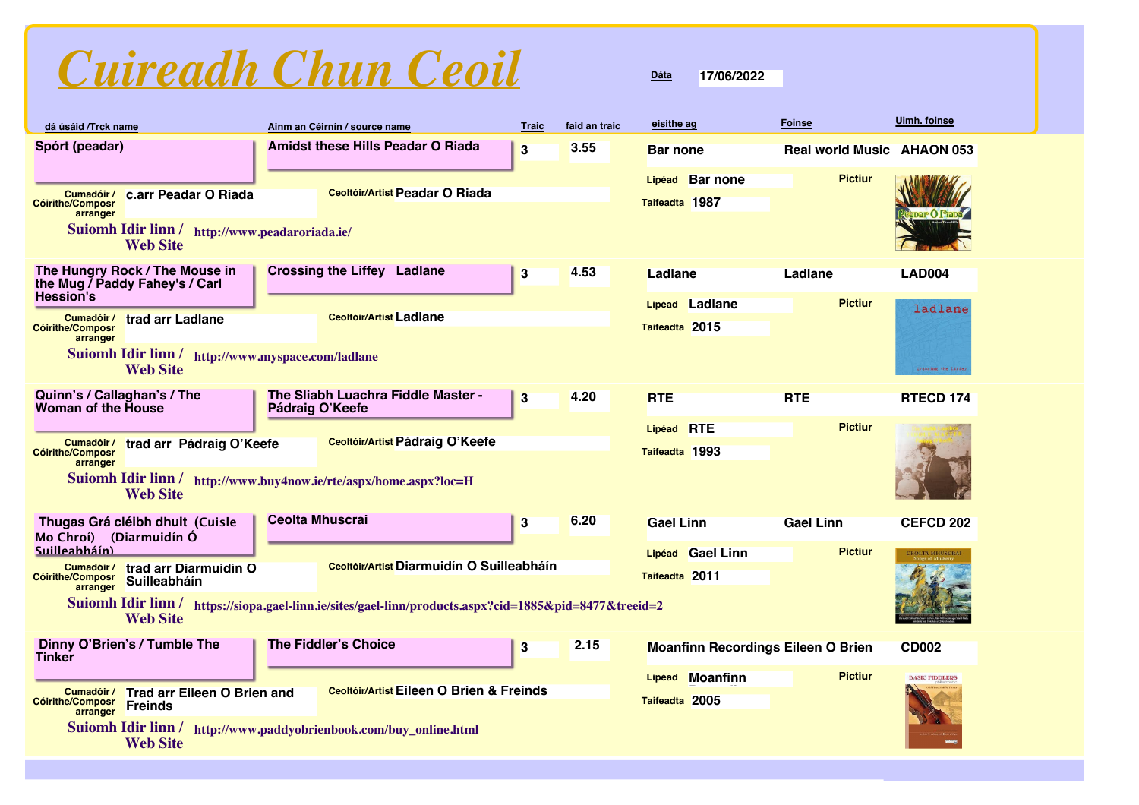# *Cuireadh Chun Ceoil*

| dá úsáid /Trck name                                                                                                                            | Ainm an Céirnín / source name                                                                          | <b>Traic</b>            | faid an traic | eisithe ag                                  | <b>Foinse</b>                     | <b>Uimh. foinse</b>   |
|------------------------------------------------------------------------------------------------------------------------------------------------|--------------------------------------------------------------------------------------------------------|-------------------------|---------------|---------------------------------------------|-----------------------------------|-----------------------|
| Spórt (peadar)                                                                                                                                 | <b>Amidst these Hills Peadar O Riada</b>                                                               | 3                       | 3.55          | <b>Bar none</b>                             | <b>Real world Music AHAON 053</b> |                       |
| c.arr Peadar O Riada<br>Cumadóir /<br><b>Cóirithe/Composr</b><br>arranger<br>Suiomh Idir linn / http://www.peadaroriada.ie/<br><b>Web Site</b> | <b>Ceoltóir/Artist Peadar O Riada</b>                                                                  |                         |               | <b>Bar none</b><br>Lipéad<br>Taifeadta 1987 | <b>Pictiur</b>                    |                       |
| The Hungry Rock / The Mouse in<br>the Mug / Paddy Fahey's / Carl<br><b>Hession's</b>                                                           | <b>Crossing the Liffey Ladlane</b>                                                                     | $\bf{3}$                | 4.53          | Ladlane                                     | Ladlane                           | <b>LAD004</b>         |
| <b>Cumadóir/</b> trad arr Ladlane<br><b>Cóirithe/Composr</b><br>arranger                                                                       | <b>Ceoltóir/Artist Ladlane</b>                                                                         |                         |               | Lipéad Ladlane<br>Taifeadta 2015            | <b>Pictiur</b>                    | ladlane               |
| Suiomh Idir linn / http://www.myspace.com/ladlane<br><b>Web Site</b>                                                                           |                                                                                                        |                         |               |                                             |                                   | Crossing the Liffey   |
| Quinn's / Callaghan's / The<br><b>Woman of the House</b>                                                                                       | The Sliabh Luachra Fiddle Master -<br>Pádraig O'Keefe                                                  | $\overline{\mathbf{3}}$ | 4.20          | <b>RTE</b>                                  | <b>RTE</b>                        | <b>RTECD 174</b>      |
| Cumadóir/ trad arr Pádraig O'Keefe<br><b>Cóirithe/Composr</b><br>arranger<br><b>Web Site</b>                                                   | Ceoltóir/Artist Pádraig O'Keefe<br>Suiomh Idir linn / http://www.buy4now.ie/rte/aspx/home.aspx?loc=H   |                         |               | Lipéad RTE<br>Taifeadta 1993                | <b>Pictiur</b>                    |                       |
| Thugas Grá cléibh dhuit (Cuisle<br>Mo Chroí) (Diarmuidín Ó                                                                                     | <b>Ceolta Mhuscrai</b>                                                                                 | 3                       | 6.20          | <b>Gael Linn</b>                            | <b>Gael Linn</b>                  | <b>CEFCD 202</b>      |
| <b>Suilleahháín)</b><br>trad arr Diarmuidín O<br>Cumadóir /<br><b>Cóirithe/Composr</b><br>Suilleabháín<br>arranger                             | Ceoltóir/Artist Diarmuidín O Suilleabháín                                                              |                         |               | Lipéad Gael Linn<br>Taifeadta 2011          | <b>Pictiur</b>                    | CEOLTA MHÚSCRAÍ       |
| <b>Web Site</b>                                                                                                                                | Suiomh Idir linn / https://siopa.gael-linn.ie/sites/gael-linn/products.aspx?cid=1885&pid=8477&treeid=2 |                         |               |                                             |                                   |                       |
| Dinny O'Brien's / Tumble The<br><b>Tinker</b>                                                                                                  | <b>The Fiddler's Choice</b>                                                                            | $\bf{3}$                | 2.15          | <b>Moanfinn Recordings Eileen O Brien</b>   |                                   | <b>CD002</b>          |
| <b>Cumadóir/ Trad arr Eileen O Brien and</b><br><b>Cóirithe/Composr</b><br><b>Freinds</b><br>arranger                                          | <b>Ceoltóir/Artist Eileen O Brien &amp; Freinds</b>                                                    |                         |               | Lipéad Moanfinn<br>Taifeadta 2005           | <b>Pictiur</b>                    | <b>BASIC FIDDLERS</b> |
| <b>Suiomh Idir linn/</b><br><b>Web Site</b>                                                                                                    | http://www.paddyobrienbook.com/buy_online.html                                                         |                         |               |                                             |                                   |                       |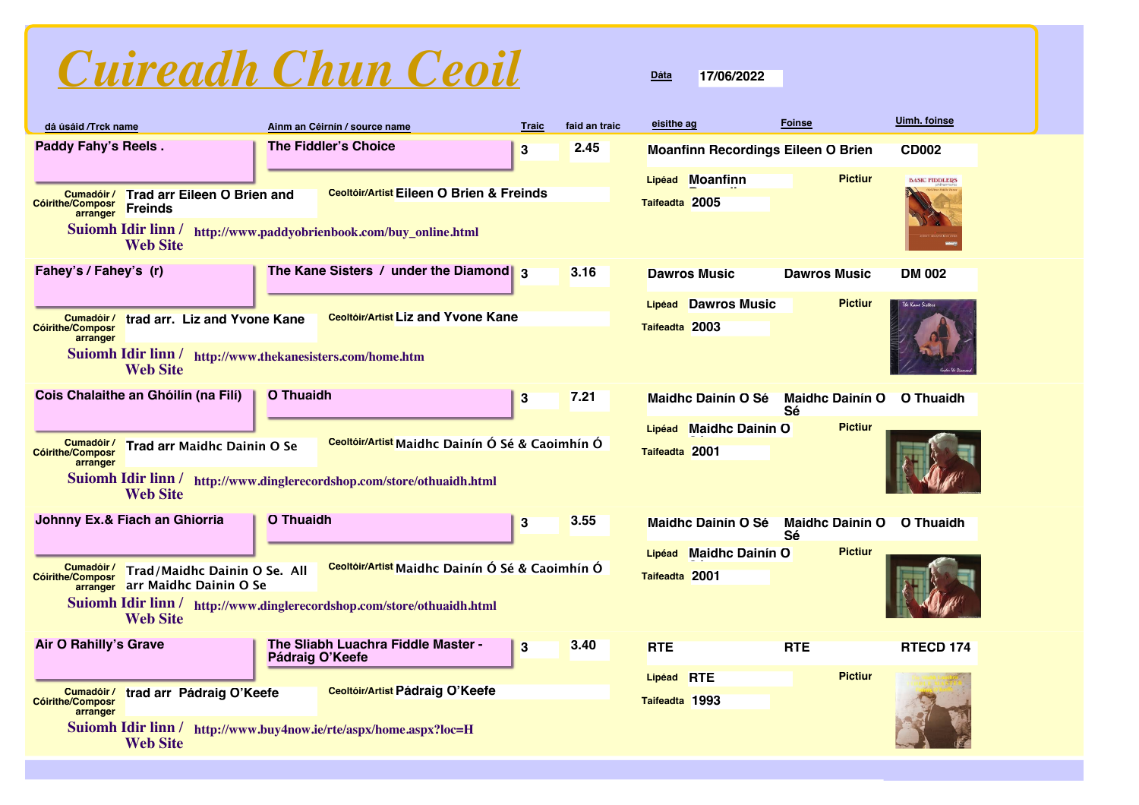

| dá úsáid /Trck name                               |                                                                                                              |                  | Ainm an Céirnín / source name                                                                                             | <b>Traic</b> | faid an traic | eisithe ag                   |                           | <b>Foinse</b>                             | <b>Uimh.</b> foinse   |
|---------------------------------------------------|--------------------------------------------------------------------------------------------------------------|------------------|---------------------------------------------------------------------------------------------------------------------------|--------------|---------------|------------------------------|---------------------------|-------------------------------------------|-----------------------|
| <b>Paddy Fahy's Reels.</b>                        |                                                                                                              |                  | <b>The Fiddler's Choice</b>                                                                                               | $\bf{3}$     | 2.45          |                              |                           | <b>Moanfinn Recordings Eileen O Brien</b> | <b>CD002</b>          |
| Cumadóir /<br><b>Cóirithe/Composr</b><br>arranger | <b>Trad arr Eileen O Brien and</b><br><b>Freinds</b><br><b>Web Site</b>                                      |                  | <b>Ceoltóir/Artist Eileen O Brien &amp; Freinds</b><br>Suiomh Idir linn / http://www.paddyobrienbook.com/buy_online.html  |              |               | Taifeadta 2005               | Lipéad Moanfinn           | <b>Pictiur</b>                            | <b>BASIC FIDDLERS</b> |
| Fahey's / Fahey's (r)                             |                                                                                                              |                  | The Kane Sisters / under the Diamond $\frac{3}{3}$                                                                        |              | 3.16          |                              | <b>Dawros Music</b>       | <b>Dawros Music</b>                       | <b>DM 002</b>         |
| Cumadóir /<br><b>Cóirithe/Composr</b><br>arranger | trad arr. Liz and Yvone Kane<br>Suiomh Idir linn / http://www.thekanesisters.com/home.htm<br><b>Web Site</b> |                  | <b>Ceoltóir/Artist Liz and Yvone Kane</b>                                                                                 |              |               | Taifeadta 2003               | Lipéad Dawros Music       | <b>Pictiur</b>                            | The Kane Sisters      |
|                                                   | Cois Chalaithe an Ghóilín (na Filí)                                                                          | <b>O</b> Thuaidh |                                                                                                                           | $\bf{3}$     | 7.21          |                              | <b>Maidhc Dainín O Sé</b> | <b>Maidhc Dainín O</b><br>Sé              | <b>O</b> Thuaidh      |
| Cumadóir /<br><b>Cóirithe/Composr</b><br>arranger | Trad arr Maidhc Dainin O Se<br><b>Web Site</b>                                                               |                  | Ceoltóir/Artist Maidhc Dainín Ó Sé & Caoimhín Ó<br>Suiomh Idir linn / http://www.dinglerecordshop.com/store/othuaidh.html |              |               | Taifeadta 2001               | Lipéad Maidhc Dainín O    | <b>Pictiur</b>                            |                       |
| Johnny Ex.& Fiach an Ghiorria                     |                                                                                                              | <b>O</b> Thuaidh |                                                                                                                           | 3            | 3.55          |                              | <b>Maidhc Dainín O Sé</b> | <b>Maidhc Dainín O</b><br>Sé              | O Thuaidh             |
| Cumadóir /<br><b>Cóirithe/Composr</b>             | Trad/Maidhc Dainin O Se. All<br>arranger arr Maidhc Dainin O Se<br><b>Web Site</b>                           |                  | Ceoltóir/Artist Maidhc Dainín Ó Sé & Caoimhín Ó<br>Suiomh Idir linn / http://www.dinglerecordshop.com/store/othuaidh.html |              |               | Taifeadta 2001               | Lipéad Maidhc Dainín O    | <b>Pictiur</b>                            |                       |
| <b>Air O Rahilly's Grave</b>                      |                                                                                                              | Pádraig O'Keefe  | The Sliabh Luachra Fiddle Master -                                                                                        | 3            | 3.40          | <b>RTE</b>                   |                           | <b>RTE</b>                                | RTECD 174             |
| Cumadóir /<br><b>Cóirithe/Composr</b><br>arranger | trad arr Pádraig O'Keefe                                                                                     |                  | Ceoltóir/Artist Pádraig O'Keefe                                                                                           |              |               | Lipéad RTE<br>Taifeadta 1993 |                           | <b>Pictiur</b>                            |                       |
| Suiomh Idir linn /                                | <b>Web Site</b>                                                                                              |                  | http://www.buy4now.ie/rte/aspx/home.aspx?loc=H                                                                            |              |               |                              |                           |                                           |                       |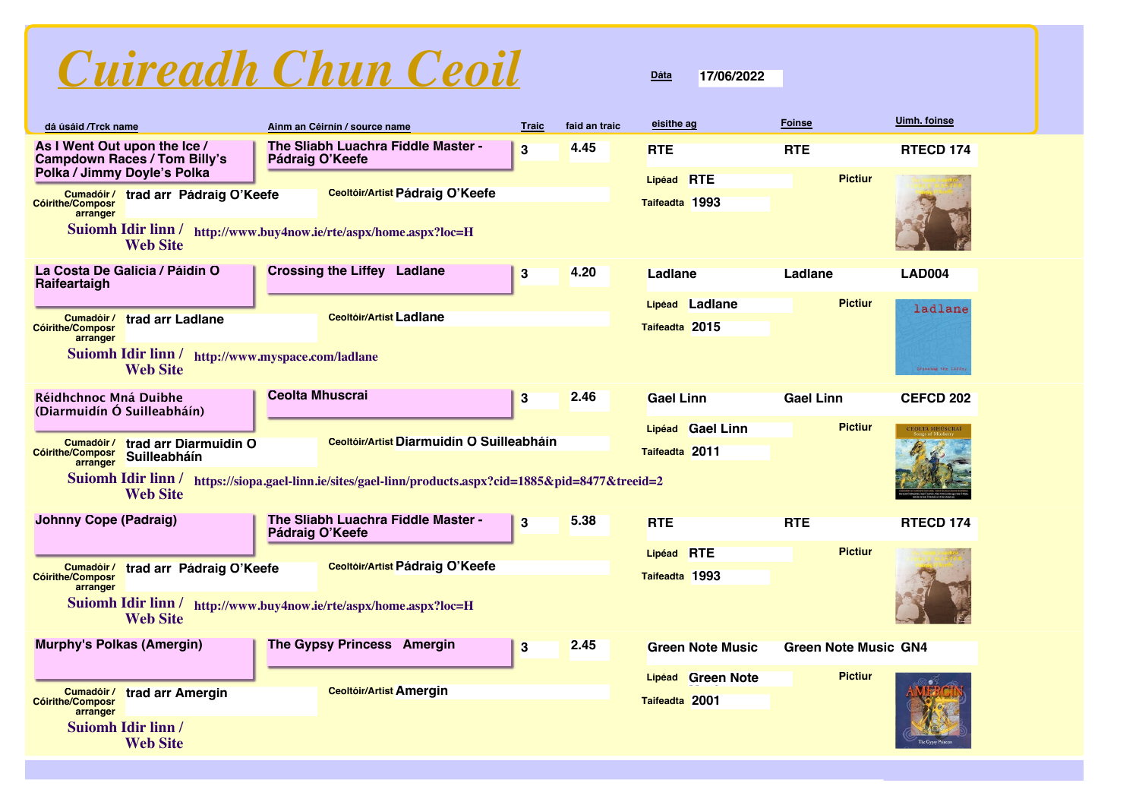

| dá úsáid /Trck name                                                                                                                                                                                                                                                                                                                             | Ainm an Céirnín / source name                                                                               | <b>Traic</b> | faid an traic | eisithe ag                          | <b>Foinse</b>               | Uimh. foinse                   |
|-------------------------------------------------------------------------------------------------------------------------------------------------------------------------------------------------------------------------------------------------------------------------------------------------------------------------------------------------|-------------------------------------------------------------------------------------------------------------|--------------|---------------|-------------------------------------|-----------------------------|--------------------------------|
| As I Went Out upon the Ice /<br><b>Campdown Races / Tom Billy's</b>                                                                                                                                                                                                                                                                             | The Sliabh Luachra Fiddle Master -<br>Pádraig O'Keefe                                                       | 3            | 4.45          | <b>RTE</b>                          | <b>RTE</b>                  | RTECD 174                      |
| Polka / Jimmy Doyle's Polka<br>Cumadóir /<br>trad arr Pádraig O'Keefe<br><b>Cóirithe/Composr</b><br>arranger<br><b>Web Site</b>                                                                                                                                                                                                                 | <b>Ceoltóir/Artist Pádraig O'Keefe</b><br>Suiomh Idir linn / http://www.buy4now.ie/rte/aspx/home.aspx?loc=H |              |               | Lipéad RTE<br>Taifeadta 1993        | <b>Pictiur</b>              |                                |
| La Costa De Galicia / Páidín O<br>Raifeartaigh                                                                                                                                                                                                                                                                                                  | <b>Crossing the Liffey Ladlane</b>                                                                          | $\bf{3}$     | 4.20          | Ladlane                             | Ladlane                     | <b>LAD004</b>                  |
| Cumadóir /<br>trad arr Ladlane<br><b>Cóirithe/Composr</b><br>arranger<br>Suiomh Idir linn / http://www.myspace.com/ladlane<br><b>Web Site</b>                                                                                                                                                                                                   | <b>Ceoltóir/Artist Ladlane</b>                                                                              |              |               | Lipéad Ladlane<br>Taifeadta 2015    | <b>Pictiur</b>              | ladlane<br>Crossing the Liffey |
| Réidhchnoc Mná Duibhe<br>(Diarmuidín Ó Suilleabháín)                                                                                                                                                                                                                                                                                            | <b>Ceolta Mhuscrai</b>                                                                                      | 3            | 2.46          | <b>Gael Linn</b>                    | <b>Gael Linn</b>            | <b>CEFCD 202</b>               |
| <b>Pictiur</b><br>Lipéad Gael Linn<br>CEOLTA MHÚSCRAÍ<br>Ceoltóir/Artist Diarmuidín O Suilleabháin<br>Cumadóir /<br>trad arr Diarmuidín O<br>Taifeadta 2011<br><b>Cóirithe/Composr</b><br>Suilleabháín<br>arranger<br>Suiomh Idir linn / https://siopa.gael-linn.ie/sites/gael-linn/products.aspx?cid=1885&pid=8477&treeid=2<br><b>Web Site</b> |                                                                                                             |              |               |                                     |                             |                                |
| <b>Johnny Cope (Padraig)</b>                                                                                                                                                                                                                                                                                                                    | The Sliabh Luachra Fiddle Master -<br>Pádraig O'Keefe                                                       | 3            | 5.38          | <b>RTE</b>                          | <b>RTE</b>                  | <b>RTECD 174</b>               |
| Cumadóir /<br>trad arr Pádraig O'Keefe<br><b>Cóirithe/Composr</b><br>arranger<br><b>Web Site</b>                                                                                                                                                                                                                                                | <b>Ceoltóir/Artist Pádraig O'Keefe</b><br>Suiomh Idir linn / http://www.buy4now.ie/rte/aspx/home.aspx?loc=H |              |               | Lipéad RTE<br>Taifeadta 1993        | <b>Pictiur</b>              |                                |
| <b>Murphy's Polkas (Amergin)</b>                                                                                                                                                                                                                                                                                                                | The Gypsy Princess Amergin                                                                                  | $\bf{3}$     | 2.45          | <b>Green Note Music</b>             | <b>Green Note Music GN4</b> |                                |
| trad arr Amergin<br>Cumadóir /<br><b>Cóirithe/Composr</b><br>arranger                                                                                                                                                                                                                                                                           | <b>Ceoltóir/Artist Amergin</b>                                                                              |              |               | Lipéad Green Note<br>Taifeadta 2001 | <b>Pictiur</b>              |                                |
| <b>Suiomh Idir linn /</b><br><b>Web Site</b>                                                                                                                                                                                                                                                                                                    |                                                                                                             |              |               |                                     |                             |                                |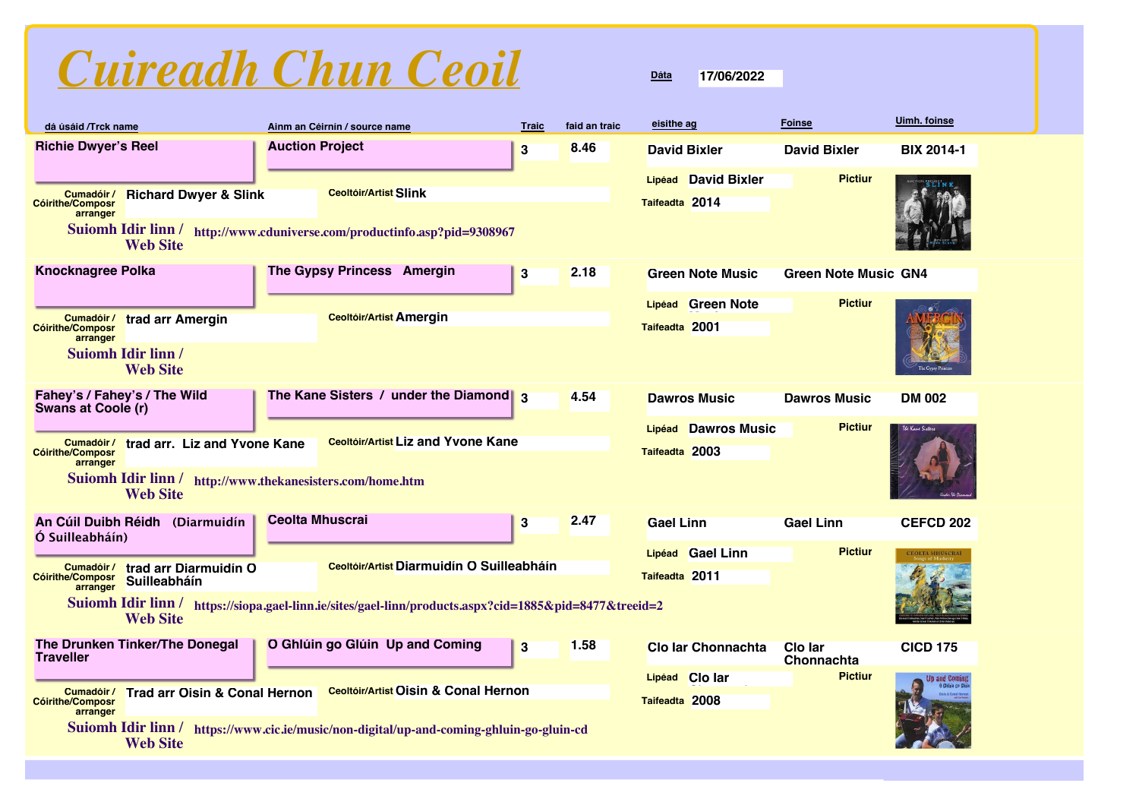| Cuireadh Chun Ceoil |  |  |
|---------------------|--|--|
|                     |  |  |

| dá úsáid /Trck name                                                                                     |                                                                              |                        | Ainm an Céirnín / source name                                                                          | <b>Traic</b> | faid an traic | eisithe ag          |                           | <b>Foinse</b>               | Uimh. foinse      |
|---------------------------------------------------------------------------------------------------------|------------------------------------------------------------------------------|------------------------|--------------------------------------------------------------------------------------------------------|--------------|---------------|---------------------|---------------------------|-----------------------------|-------------------|
| <b>Richie Dwyer's Reel</b>                                                                              |                                                                              | <b>Auction Project</b> |                                                                                                        | $\bf{3}$     | 8.46          | <b>David Bixler</b> |                           | <b>David Bixler</b>         | <b>BIX 2014-1</b> |
|                                                                                                         |                                                                              |                        |                                                                                                        |              |               |                     | Lipéad David Bixler       | <b>Pictiur</b>              |                   |
| Cumadóir /<br><b>Cóirithe/Composr</b>                                                                   | <b>Richard Dwyer &amp; Slink</b>                                             |                        | <b>Ceoltóir/Artist Slink</b>                                                                           |              |               | Taifeadta 2014      |                           |                             |                   |
| arranger<br>Suiomh Idir linn / http://www.cduniverse.com/productinfo.asp?pid=9308967<br><b>Web Site</b> |                                                                              |                        |                                                                                                        |              |               |                     |                           |                             |                   |
| <b>Knocknagree Polka</b>                                                                                |                                                                              |                        | The Gypsy Princess Amergin                                                                             | $\bf{3}$     | 2.18          |                     | <b>Green Note Music</b>   | <b>Green Note Music GN4</b> |                   |
|                                                                                                         |                                                                              |                        |                                                                                                        |              |               |                     | Lipéad Green Note         | <b>Pictiur</b>              |                   |
| Cumadóir /<br><b>Cóirithe/Composr</b><br>arranger                                                       | trad arr Amergin                                                             |                        | <b>Ceoltóir/Artist Amergin</b>                                                                         |              |               | Taifeadta 2001      |                           |                             |                   |
|                                                                                                         | <b>Suiomh Idir linn /</b><br><b>Web Site</b>                                 |                        |                                                                                                        |              |               |                     |                           |                             | The Gypsy Princes |
| Fahey's / Fahey's / The Wild<br><b>Swans at Coole (r)</b>                                               |                                                                              |                        | The Kane Sisters / under the Diamond $_3$                                                              |              | 4.54          |                     | <b>Dawros Music</b>       | <b>Dawros Music</b>         | <b>DM 002</b>     |
|                                                                                                         |                                                                              |                        | <b>Ceoltóir/Artist Liz and Yvone Kane</b>                                                              |              |               | Lipéad              | <b>Dawros Music</b>       | <b>Pictiur</b>              | The Kane Sixte    |
| Cumadóir /<br><b>Cóirithe/Composr</b><br>arranger                                                       | trad arr. Liz and Yvone Kane                                                 |                        |                                                                                                        |              |               | Taifeadta 2003      |                           |                             |                   |
|                                                                                                         | Suiomh Idir linn / http://www.thekanesisters.com/home.htm<br><b>Web Site</b> |                        |                                                                                                        |              |               |                     |                           |                             |                   |
| An Cúil Duibh Réidh<br>Ó Suilleabháín)                                                                  | (Diarmuidín                                                                  | <b>Ceolta Mhuscrai</b> |                                                                                                        | 3            | 2.47          | <b>Gael Linn</b>    |                           | <b>Gael Linn</b>            | <b>CEFCD 202</b>  |
|                                                                                                         |                                                                              |                        |                                                                                                        |              |               |                     | Lipéad Gael Linn          | <b>Pictiur</b>              | CEOLTA MHÚSCRAÍ   |
| Cumadóir /<br><b>Cóirithe/Composr</b>                                                                   | trad arr Diarmuidín O<br>Suilleabháín                                        |                        | Ceoltóir/Artist Diarmuidín O Suilleabháin                                                              |              |               | Taifeadta 2011      |                           |                             |                   |
| arranger                                                                                                | <b>Web Site</b>                                                              |                        | Suiomh Idir linn / https://siopa.gael-linn.ie/sites/gael-linn/products.aspx?cid=1885&pid=8477&treeid=2 |              |               |                     |                           |                             |                   |
| <b>Traveller</b>                                                                                        | The Drunken Tinker/The Donegal                                               |                        | O Ghlúin go Glúin Up and Coming                                                                        | $\bf{3}$     | 1.58          |                     | <b>Clo Iar Chonnachta</b> | Clo lar<br>Chonnachta       | <b>CICD 175</b>   |
|                                                                                                         |                                                                              |                        |                                                                                                        |              |               | Lipéad Clo lar      |                           | <b>Pictiur</b>              |                   |
| Cumadóir /<br><b>Cóirithe/Composr</b><br>arranger                                                       | <b>Trad arr Oisin &amp; Conal Hernon</b>                                     |                        | <b>Ceoltóir/Artist Oisin &amp; Conal Hernon</b>                                                        |              |               | Taifeadta 2008      |                           |                             |                   |
|                                                                                                         | <b>Web Site</b>                                                              |                        | Suiomh Idir linn / https://www.cic.ie/music/non-digital/up-and-coming-ghluin-go-gluin-cd               |              |               |                     |                           |                             |                   |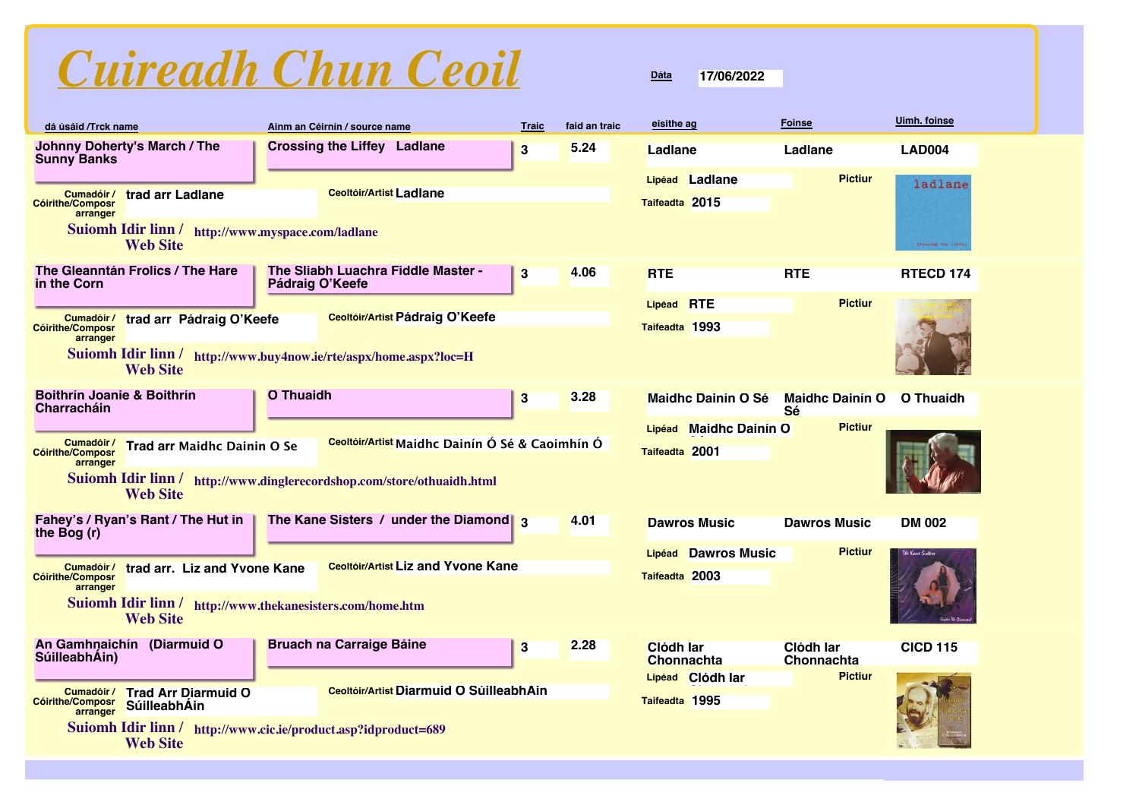# *Cuireadh Chun Ceoil*

## **dá úsáid /Trck name eisithe ag Foinse Uimh. foinse Ainm an Céirnín / source name Traic faid an traic Johnny Doherty's March / The Crossing the Liffey Ladlane 3 Ladlane Ladlane LAD004 5.24 Sunny Banks Lipéad Ladlane Pictiur** ladlane **Ceoltóir/Artist Ladlane Cumadóir / trad arr Ladlane Taifeadta 2015 Cóirithe/Composr arranger Suiomh Idir linn / http://www.myspace.com/ladlane Web Site** Crossing the Liffe **The Gleanntán Frolics / The Hare The Sliabh Luachra Fiddle Master - <sup>3</sup> RTÉ RTÉ RTÉCD 174 Pádraig O'Keefe 4.06 in the Corn Lipéad RTÉ Pictiur Ceoltóir/Artist Pádraig O'Keefe Cumadóir / trad arr Pádraig O'Keefe Taifeadta 1993 Cóirithe/Composr arranger Suiomh Idir linn / http://www.buy4now.ie/rte/aspx/home.aspx?loc=H Web Site Boithrín Joanie & Boithrín O Thuaidh 3 O Thuaidh 3 O Thuaidh 3 Maidhc Dainín O Sé Maidhc Dainín O Q Thuaidh 3.28 Charracháin Maidhc Dainín Ó Sé Maidhc Dainín Ó Sé Pictiur Maidhc Dainín Ó Lipéad Trad arr Maidhc Dainin O Se Cumadóir /**  $\overline{\phantom{a}}$ **Ceoltóir/Artist Maidhc Dainín Ó Sé & Caoimhín Ó Cóirithe/Composr Taifeadta 2001 arranger Suiomh Idir linn / http://www.dinglerecordshop.com/store/othuaidh.html Web Site The Kane Sisters / under the Diamond 3 Dawros Music Dawros Music DM 002 Fahey's / Ryan's Rant / The Hut in 4.01 the Bog (r) Lipéad Dawros Music Pictiur Cumadóir / trad arr. Liz and Yvone Kane Ceoltóir/Artist Liz and Yvone Kane Taifeadta 2003 Cóirithe/Composr arranger Suiomh Idir linn / http://www.thekanesisters.com/home.htm Web Site An Gamhnaichín (Diarmuid Ó SúilleabhÁin) Clódh Iar Bruach na Carraige Báine 115 Clome 12.28 Clome Clome 115 Clome 115 Clome 115 CICD 115 2.28 Clódh Iar Chonnachta Chonnachta PictiurClódh Iar Lipéad Ceoltóir/Artist Diarmuid Ó SúilleabhÁin Chonnachta Trad Arr Diarmuid Ó Cumadóir / Taifeadta 1995 SúilleabhÁin Cóirithe/Composr arranger Suiomh Idir linn / http://www.cic.ie/product.asp?idproduct=689 Web Site**